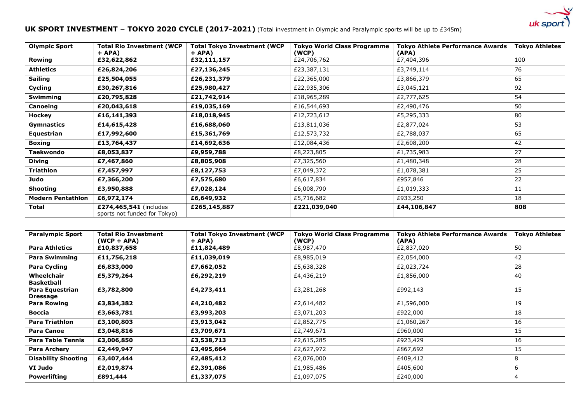

## **UK SPORT INVESTMENT – TOKYO 2020 CYCLE (2017-2021)** (Total investment in Olympic and Paralympic sports will be up to £345m)

| <b>Olympic Sport</b>     | <b>Total Rio Investment (WCP</b><br>$+$ APA)           | <b>Total Tokyo Investment (WCP</b><br>$+$ APA) | <b>Tokyo World Class Programme</b><br>(WCP) | <b>Tokyo Athlete Performance Awards</b><br>(APA) | <b>Tokyo Athletes</b> |
|--------------------------|--------------------------------------------------------|------------------------------------------------|---------------------------------------------|--------------------------------------------------|-----------------------|
| Rowing                   | £32,622,862                                            | £32,111,157                                    | £24,706,762                                 | £7,404,396                                       | 100                   |
| <b>Athletics</b>         | £26,824,206                                            | £27,136,245                                    | £23,387,131                                 | £3,749,114                                       | 76                    |
| Sailing                  | £25,504,055                                            | £26,231,379                                    | £22,365,000                                 | £3,866,379                                       | 65                    |
| Cycling                  | £30,267,816                                            | £25,980,427                                    | £22,935,306                                 | £3,045,121                                       | 92                    |
| <b>Swimming</b>          | £20,795,828                                            | £21,742,914                                    | £18,965,289                                 | £2,777,625                                       | 54                    |
| <b>Canoeing</b>          | £20,043,618                                            | £19,035,169                                    | £16,544,693                                 | £2,490,476                                       | 50                    |
| <b>Hockey</b>            | £16,141,393                                            | £18,018,945                                    | £12,723,612                                 | £5,295,333                                       | 80                    |
| <b>Gymnastics</b>        | £14,615,428                                            | £16,688,060                                    | £13,811,036                                 | £2,877,024                                       | 53                    |
| Equestrian               | £17,992,600                                            | £15,361,769                                    | £12,573,732                                 | £2,788,037                                       | 65                    |
| <b>Boxing</b>            | £13,764,437                                            | £14,692,636                                    | £12,084,436                                 | £2,608,200                                       | 42                    |
| Taekwondo                | £8,053,837                                             | £9,959,788                                     | £8,223,805                                  | £1,735,983                                       | 27                    |
| <b>Diving</b>            | £7,467,860                                             | £8,805,908                                     | £7,325,560                                  | £1,480,348                                       | 28                    |
| Triathlon                | £7,457,997                                             | £8,127,753                                     | £7,049,372                                  | £1,078,381                                       | 25                    |
| Judo                     | £7,366,200                                             | £7,575,680                                     | £6,617,834                                  | £957,846                                         | 22                    |
| <b>Shooting</b>          | £3,950,888                                             | £7,028,124                                     | £6,008,790                                  | £1,019,333                                       | 11                    |
| <b>Modern Pentathlon</b> | £6,972,174                                             | £6,649,932                                     | £5,716,682                                  | £933,250                                         | 18                    |
| Total                    | £274,465,541 (includes<br>sports not funded for Tokyo) | £265,145,887                                   | £221,039,040                                | £44,106,847                                      | 808                   |

| <b>Paralympic Sport</b>            | <b>Total Rio Investment</b><br>$(WCP + APA)$ | <b>Total Tokyo Investment (WCP</b><br>$+$ APA) | <b>Tokyo World Class Programme</b><br>(WCP) | <b>Tokyo Athlete Performance Awards</b><br>(APA) | <b>Tokyo Athletes</b> |
|------------------------------------|----------------------------------------------|------------------------------------------------|---------------------------------------------|--------------------------------------------------|-----------------------|
| <b>Para Athletics</b>              | £10,837,658                                  | £11,824,489                                    | £8,987,470                                  | £2,837,020                                       | 50                    |
| <b>Para Swimming</b>               | £11,756,218                                  | £11,039,019                                    | £8,985,019                                  | £2,054,000                                       | 42                    |
| Para Cycling                       | £6,833,000                                   | £7,662,052                                     | £5,638,328                                  | £2,023,724                                       | 28                    |
| Wheelchair<br><b>Basketball</b>    | £5,379,264                                   | £6,292,219                                     | £4,436,219                                  | £1,856,000                                       | 40                    |
| Para Equestrian<br><b>Dressage</b> | £3,782,800                                   | £4,273,411                                     | £3,281,268                                  | £992,143                                         | 15                    |
| <b>Para Rowing</b>                 | £3,834,382                                   | £4,210,482                                     | £2,614,482                                  | £1,596,000                                       | 19                    |
| Boccia                             | £3,663,781                                   | £3,993,203                                     | £3,071,203                                  | £922,000                                         | 18                    |
| <b>Para Triathlon</b>              | £3,100,803                                   | £3,913,042                                     | £2,852,775                                  | £1,060,267                                       | 16                    |
| <b>Para Canoe</b>                  | £3,048,816                                   | £3,709,671                                     | £2,749,671                                  | £960,000                                         | 15                    |
| <b>Para Table Tennis</b>           | £3,006,850                                   | £3,538,713                                     | £2,615,285                                  | £923,429                                         | 16                    |
| <b>Para Archery</b>                | £2,449,947                                   | £3,495,664                                     | £2,627,972                                  | £867,692                                         | 15                    |
| <b>Disability Shooting</b>         | £3,407,444                                   | £2,485,412                                     | £2,076,000                                  | £409,412                                         | 8                     |
| VI Judo                            | £2,019,874                                   | £2,391,086                                     | £1,985,486                                  | £405,600                                         | 6                     |
| <b>Powerlifting</b>                | £891,444                                     | £1,337,075                                     | £1,097,075                                  | £240,000                                         | 4                     |